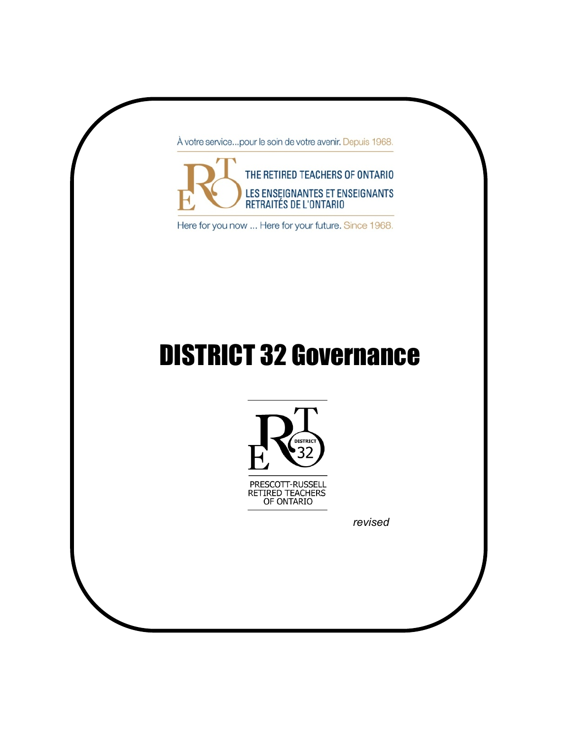À votre service...pour le soin de votre avenir. Depuis 1968.



Here for you now ... Here for your future. Since 1968.

# DISTRICT 32 Governance





*revised*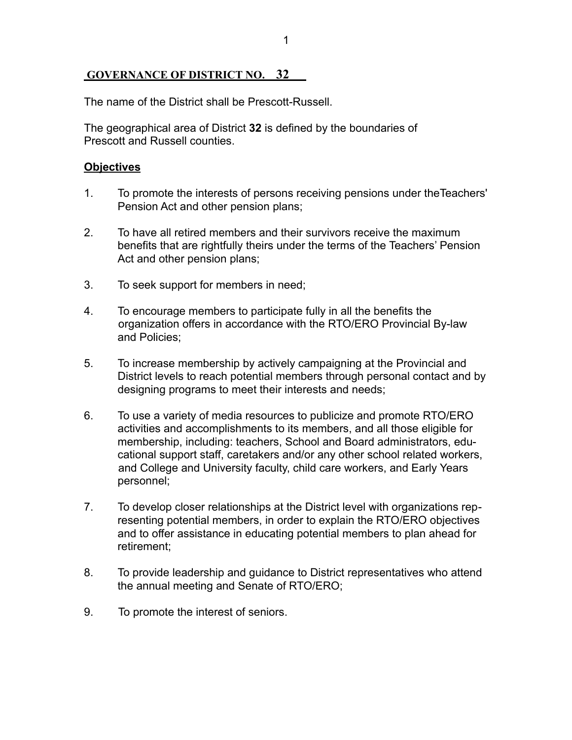# **GOVERNANCE OF DISTRICT NO. 32**

The name of the District shall be Prescott-Russell.

The geographical area of District **32** is defined by the boundaries of Prescott and Russell counties.

# **Objectives**

- 1. To promote the interests of persons receiving pensions under theTeachers' Pension Act and other pension plans;
- 2. To have all retired members and their survivors receive the maximum benefits that are rightfully theirs under the terms of the Teachers' Pension Act and other pension plans;
- 3. To seek support for members in need;
- 4. To encourage members to participate fully in all the benefits the organization offers in accordance with the RTO/ERO Provincial By-law and Policies;
- 5. To increase membership by actively campaigning at the Provincial and District levels to reach potential members through personal contact and by designing programs to meet their interests and needs;
- 6. To use a variety of media resources to publicize and promote RTO/ERO activities and accomplishments to its members, and all those eligible for membership, including: teachers, School and Board administrators, educational support staff, caretakers and/or any other school related workers, and College and University faculty, child care workers, and Early Years personnel;
- 7. To develop closer relationships at the District level with organizations representing potential members, in order to explain the RTO/ERO objectives and to offer assistance in educating potential members to plan ahead for retirement;
- 8. To provide leadership and guidance to District representatives who attend the annual meeting and Senate of RTO/ERO;
- 9. To promote the interest of seniors.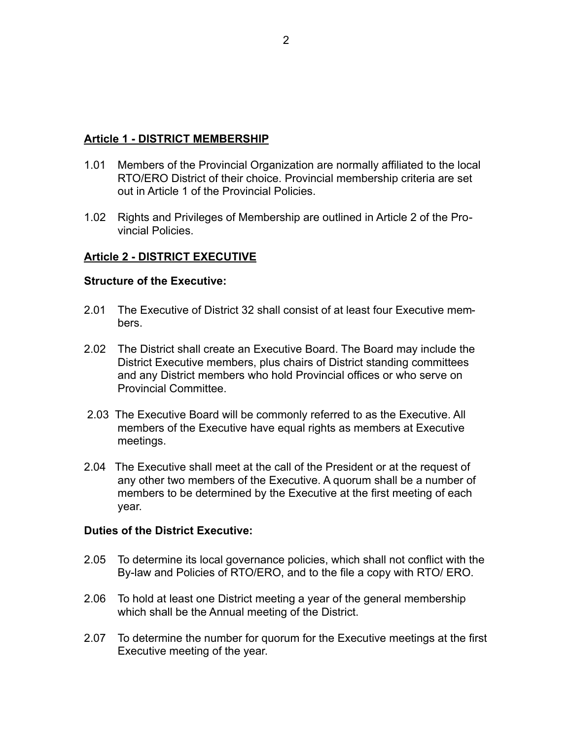#### **Article 1 - DISTRICT MEMBERSHIP**

- 1.01 Members of the Provincial Organization are normally affiliated to the local RTO/ERO District of their choice. Provincial membership criteria are set out in Article 1 of the Provincial Policies.
- 1.02 Rights and Privileges of Membership are outlined in Article 2 of the Provincial Policies.

# **Article 2 - DISTRICT EXECUTIVE**

#### **Structure of the Executive:**

- 2.01 The Executive of District 32 shall consist of at least four Executive members.
- 2.02 The District shall create an Executive Board. The Board may include the District Executive members, plus chairs of District standing committees and any District members who hold Provincial offices or who serve on Provincial Committee.
- 2.03 The Executive Board will be commonly referred to as the Executive. All members of the Executive have equal rights as members at Executive meetings.
- 2.04 The Executive shall meet at the call of the President or at the request of any other two members of the Executive. A quorum shall be a number of members to be determined by the Executive at the first meeting of each year.

#### **Duties of the District Executive:**

- 2.05 To determine its local governance policies, which shall not conflict with the By-law and Policies of RTO/ERO, and to the file a copy with RTO/ ERO.
- 2.06 To hold at least one District meeting a year of the general membership which shall be the Annual meeting of the District.
- 2.07 To determine the number for quorum for the Executive meetings at the first Executive meeting of the year.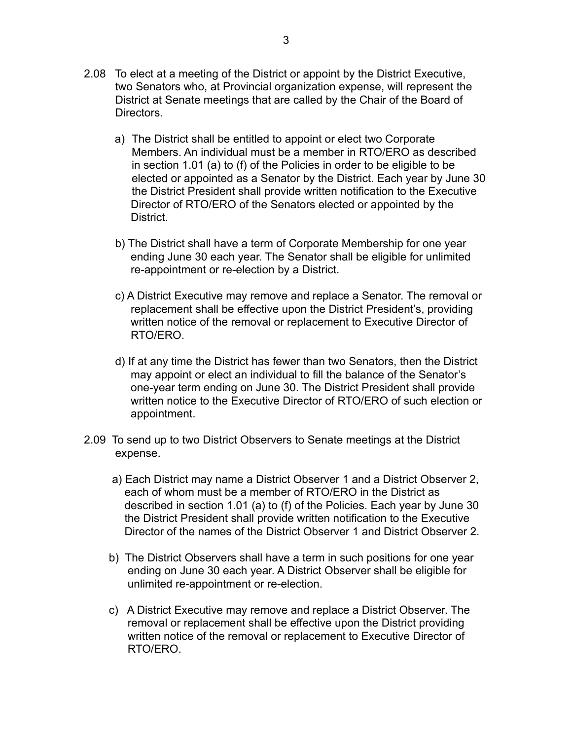- 2.08 To elect at a meeting of the District or appoint by the District Executive, two Senators who, at Provincial organization expense, will represent the District at Senate meetings that are called by the Chair of the Board of Directors.
	- a) The District shall be entitled to appoint or elect two Corporate Members. An individual must be a member in RTO/ERO as described in section 1.01 (a) to (f) of the Policies in order to be eligible to be elected or appointed as a Senator by the District. Each year by June 30 the District President shall provide written notification to the Executive Director of RTO/ERO of the Senators elected or appointed by the District.
	- b) The District shall have a term of Corporate Membership for one year ending June 30 each year. The Senator shall be eligible for unlimited re-appointment or re-election by a District.
	- c) A District Executive may remove and replace a Senator. The removal or replacement shall be effective upon the District President's, providing written notice of the removal or replacement to Executive Director of RTO/ERO.
	- d) If at any time the District has fewer than two Senators, then the District may appoint or elect an individual to fill the balance of the Senator's one-year term ending on June 30. The District President shall provide written notice to the Executive Director of RTO/ERO of such election or appointment.
- 2.09 To send up to two District Observers to Senate meetings at the District expense.
	- a) Each District may name a District Observer 1 and a District Observer 2, each of whom must be a member of RTO/ERO in the District as described in section 1.01 (a) to (f) of the Policies. Each year by June 30 the District President shall provide written notification to the Executive Director of the names of the District Observer 1 and District Observer 2.
	- b) The District Observers shall have a term in such positions for one year ending on June 30 each year. A District Observer shall be eligible for unlimited re-appointment or re-election.
	- c) A District Executive may remove and replace a District Observer. The removal or replacement shall be effective upon the District providing written notice of the removal or replacement to Executive Director of RTO/ERO.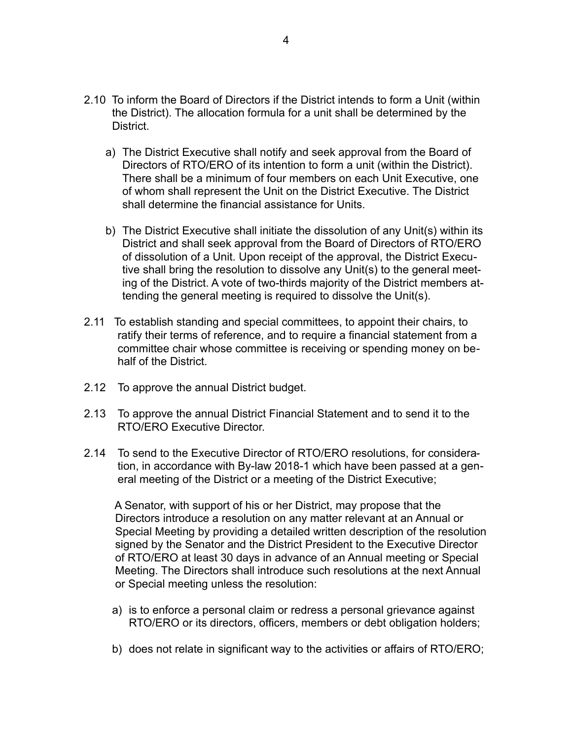- 2.10 To inform the Board of Directors if the District intends to form a Unit (within the District). The allocation formula for a unit shall be determined by the **District** 
	- a) The District Executive shall notify and seek approval from the Board of Directors of RTO/ERO of its intention to form a unit (within the District). There shall be a minimum of four members on each Unit Executive, one of whom shall represent the Unit on the District Executive. The District shall determine the financial assistance for Units.
	- b) The District Executive shall initiate the dissolution of any Unit(s) within its District and shall seek approval from the Board of Directors of RTO/ERO of dissolution of a Unit. Upon receipt of the approval, the District Executive shall bring the resolution to dissolve any Unit(s) to the general meeting of the District. A vote of two-thirds majority of the District members attending the general meeting is required to dissolve the Unit(s).
- 2.11 To establish standing and special committees, to appoint their chairs, to ratify their terms of reference, and to require a financial statement from a committee chair whose committee is receiving or spending money on behalf of the District.
- 2.12 To approve the annual District budget.
- 2.13 To approve the annual District Financial Statement and to send it to the RTO/ERO Executive Director.
- 2.14 To send to the Executive Director of RTO/ERO resolutions, for consideration, in accordance with By-law 2018-1 which have been passed at a general meeting of the District or a meeting of the District Executive;

 A Senator, with support of his or her District, may propose that the Directors introduce a resolution on any matter relevant at an Annual or Special Meeting by providing a detailed written description of the resolution signed by the Senator and the District President to the Executive Director of RTO/ERO at least 30 days in advance of an Annual meeting or Special Meeting. The Directors shall introduce such resolutions at the next Annual or Special meeting unless the resolution:

- a) is to enforce a personal claim or redress a personal grievance against RTO/ERO or its directors, officers, members or debt obligation holders;
- b) does not relate in significant way to the activities or affairs of RTO/ERO;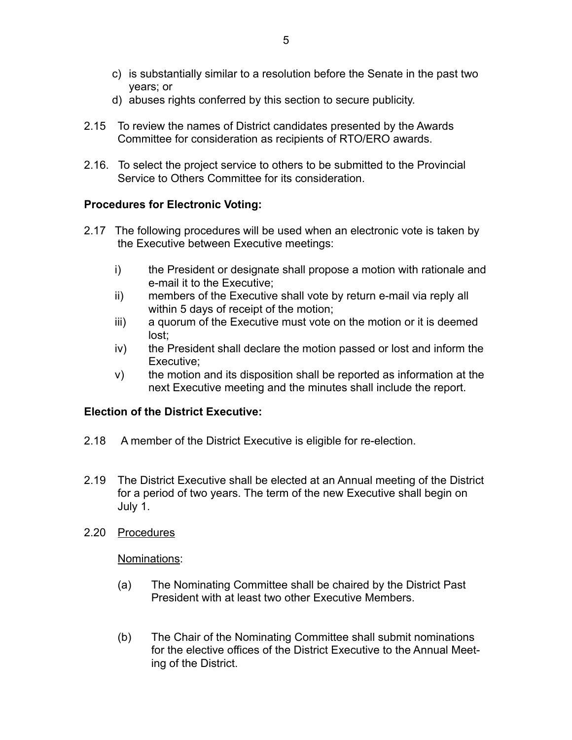- c) is substantially similar to a resolution before the Senate in the past two years; or
- d) abuses rights conferred by this section to secure publicity.
- 2.15 To review the names of District candidates presented by the Awards Committee for consideration as recipients of RTO/ERO awards.
- 2.16. To select the project service to others to be submitted to the Provincial Service to Others Committee for its consideration.

# **Procedures for Electronic Voting:**

- 2.17 The following procedures will be used when an electronic vote is taken by the Executive between Executive meetings:
	- i) the President or designate shall propose a motion with rationale and e-mail it to the Executive;
	- ii) members of the Executive shall vote by return e-mail via reply all within 5 days of receipt of the motion;
	- iii) a quorum of the Executive must vote on the motion or it is deemed lost;
	- iv) the President shall declare the motion passed or lost and inform the Executive;
	- v) the motion and its disposition shall be reported as information at the next Executive meeting and the minutes shall include the report.

### **Election of the District Executive:**

- 2.18 A member of the District Executive is eligible for re-election.
- 2.19 The District Executive shall be elected at an Annual meeting of the District for a period of two years. The term of the new Executive shall begin on July 1.
- 2.20 Procedures

Nominations:

- (a) The Nominating Committee shall be chaired by the District Past President with at least two other Executive Members.
- (b) The Chair of the Nominating Committee shall submit nominations for the elective offices of the District Executive to the Annual Meeting of the District.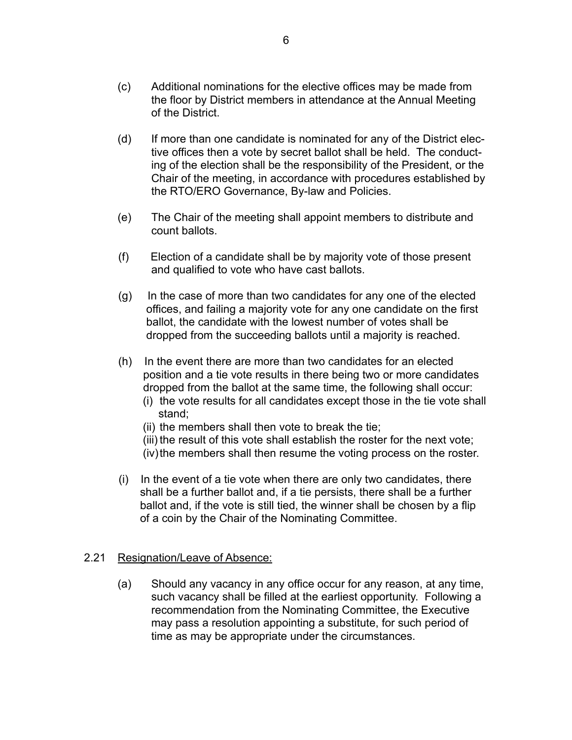- (c) Additional nominations for the elective offices may be made from the floor by District members in attendance at the Annual Meeting of the District.
- (d) If more than one candidate is nominated for any of the District elective offices then a vote by secret ballot shall be held. The conducting of the election shall be the responsibility of the President, or the Chair of the meeting, in accordance with procedures established by the RTO/ERO Governance, By-law and Policies.
- (e) The Chair of the meeting shall appoint members to distribute and count ballots.
- (f) Election of a candidate shall be by majority vote of those present and qualified to vote who have cast ballots.
- (g) In the case of more than two candidates for any one of the elected offices, and failing a majority vote for any one candidate on the first ballot, the candidate with the lowest number of votes shall be dropped from the succeeding ballots until a majority is reached.
- (h) In the event there are more than two candidates for an elected position and a tie vote results in there being two or more candidates dropped from the ballot at the same time, the following shall occur:
	- (i) the vote results for all candidates except those in the tie vote shall stand;
	- (ii) the members shall then vote to break the tie;
	- (iii) the result of this vote shall establish the roster for the next vote;
	- (iv) the members shall then resume the voting process on the roster.
- (i) In the event of a tie vote when there are only two candidates, there shall be a further ballot and, if a tie persists, there shall be a further ballot and, if the vote is still tied, the winner shall be chosen by a flip of a coin by the Chair of the Nominating Committee.

### 2.21 Resignation/Leave of Absence:

 (a) Should any vacancy in any office occur for any reason, at any time, such vacancy shall be filled at the earliest opportunity. Following a recommendation from the Nominating Committee, the Executive may pass a resolution appointing a substitute, for such period of time as may be appropriate under the circumstances.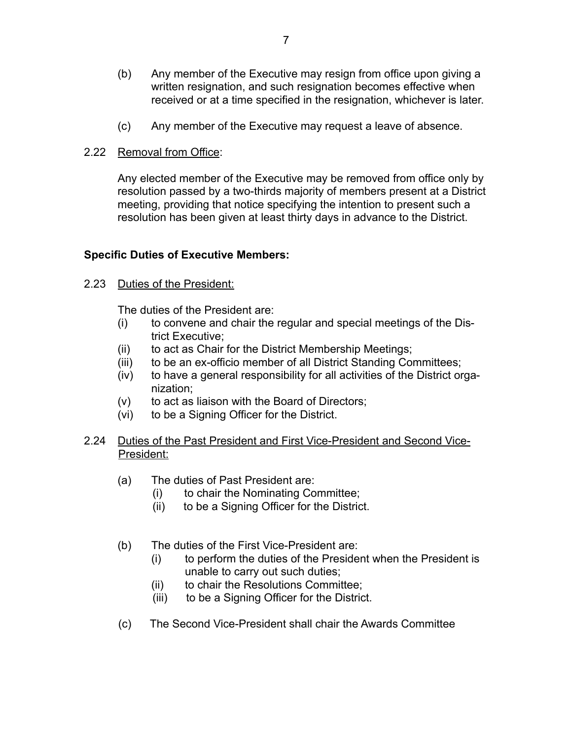- (b) Any member of the Executive may resign from office upon giving a written resignation, and such resignation becomes effective when received or at a time specified in the resignation, whichever is later.
- (c) Any member of the Executive may request a leave of absence.
- 2.22 Removal from Office:

 Any elected member of the Executive may be removed from office only by resolution passed by a two-thirds majority of members present at a District meeting, providing that notice specifying the intention to present such a resolution has been given at least thirty days in advance to the District.

# **Specific Duties of Executive Members:**

2.23 Duties of the President:

The duties of the President are:

- (i) to convene and chair the regular and special meetings of the District Executive;
- (ii) to act as Chair for the District Membership Meetings;
- (iii) to be an ex-officio member of all District Standing Committees;
- (iv) to have a general responsibility for all activities of the District organization;
- (v) to act as liaison with the Board of Directors;
- (vi) to be a Signing Officer for the District.
- 2.24 Duties of the Past President and First Vice-President and Second Vice- President:
	- (a) The duties of Past President are:
		- (i) to chair the Nominating Committee;
		- (ii) to be a Signing Officer for the District.
	- (b) The duties of the First Vice-President are:
		- (i) to perform the duties of the President when the President is unable to carry out such duties;
		- (ii) to chair the Resolutions Committee;
		- (iii) to be a Signing Officer for the District.
	- (c) The Second Vice-President shall chair the Awards Committee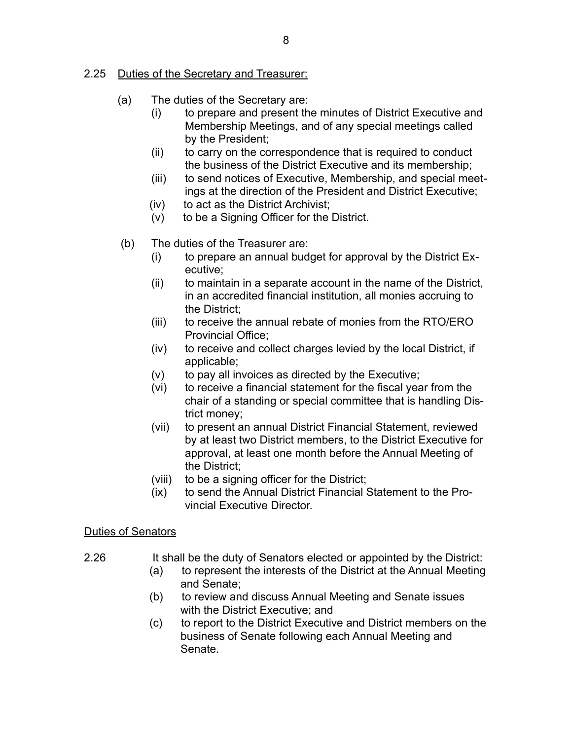# 2.25 Duties of the Secretary and Treasurer:

- (a) The duties of the Secretary are:
	- (i) to prepare and present the minutes of District Executive and Membership Meetings, and of any special meetings called by the President;
	- (ii) to carry on the correspondence that is required to conduct the business of the District Executive and its membership;
	- (iii) to send notices of Executive, Membership, and special meetings at the direction of the President and District Executive;
	- (iv) to act as the District Archivist;
	- (v) to be a Signing Officer for the District.
- (b) The duties of the Treasurer are:
	- (i) to prepare an annual budget for approval by the District Executive;
	- (ii) to maintain in a separate account in the name of the District, in an accredited financial institution, all monies accruing to the District;
	- (iii) to receive the annual rebate of monies from the RTO/ERO Provincial Office;
	- (iv) to receive and collect charges levied by the local District, if applicable;
	- (v) to pay all invoices as directed by the Executive;
	- (vi) to receive a financial statement for the fiscal year from the chair of a standing or special committee that is handling District money;
	- (vii) to present an annual District Financial Statement, reviewed by at least two District members, to the District Executive for approval, at least one month before the Annual Meeting of the District;
	- (viii) to be a signing officer for the District;
	- (ix) to send the Annual District Financial Statement to the Provincial Executive Director.

### Duties of Senators

- 2.26 It shall be the duty of Senators elected or appointed by the District:
	- (a) to represent the interests of the District at the Annual Meeting and Senate;
	- (b) to review and discuss Annual Meeting and Senate issues with the District Executive; and
	- (c) to report to the District Executive and District members on the business of Senate following each Annual Meeting and Senate.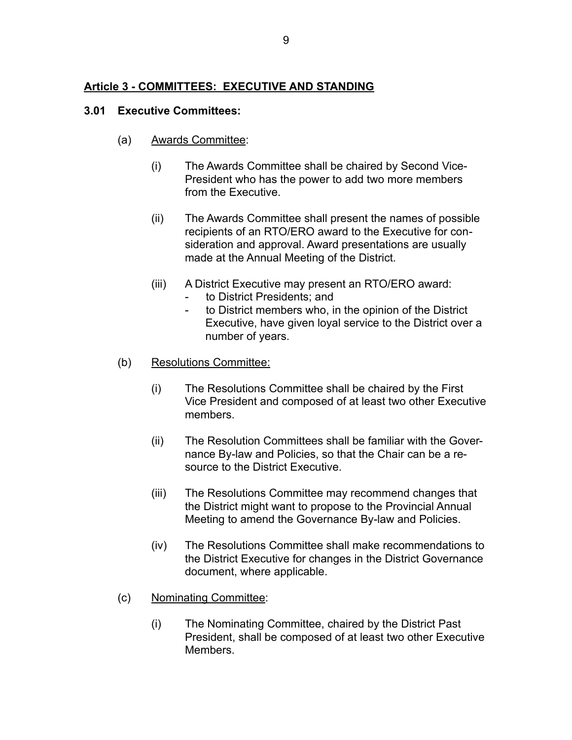# **Article 3 - COMMITTEES: EXECUTIVE AND STANDING**

#### **3.01 Executive Committees:**

- (a) Awards Committee:
	- (i) The Awards Committee shall be chaired by Second Vice-President who has the power to add two more members from the Executive.
	- (ii) The Awards Committee shall present the names of possible recipients of an RTO/ERO award to the Executive for consideration and approval. Award presentations are usually made at the Annual Meeting of the District.
	- (iii) A District Executive may present an RTO/ERO award:
		- to District Presidents; and
		- to District members who, in the opinion of the District Executive, have given loyal service to the District over a number of years.
- (b) Resolutions Committee:
	- (i) The Resolutions Committee shall be chaired by the First Vice President and composed of at least two other Executive members.
	- (ii) The Resolution Committees shall be familiar with the Governance By-law and Policies, so that the Chair can be a resource to the District Executive.
	- (iii) The Resolutions Committee may recommend changes that the District might want to propose to the Provincial Annual Meeting to amend the Governance By-law and Policies.
	- (iv) The Resolutions Committee shall make recommendations to the District Executive for changes in the District Governance document, where applicable.
- (c) Nominating Committee:
	- (i) The Nominating Committee, chaired by the District Past President, shall be composed of at least two other Executive **Members**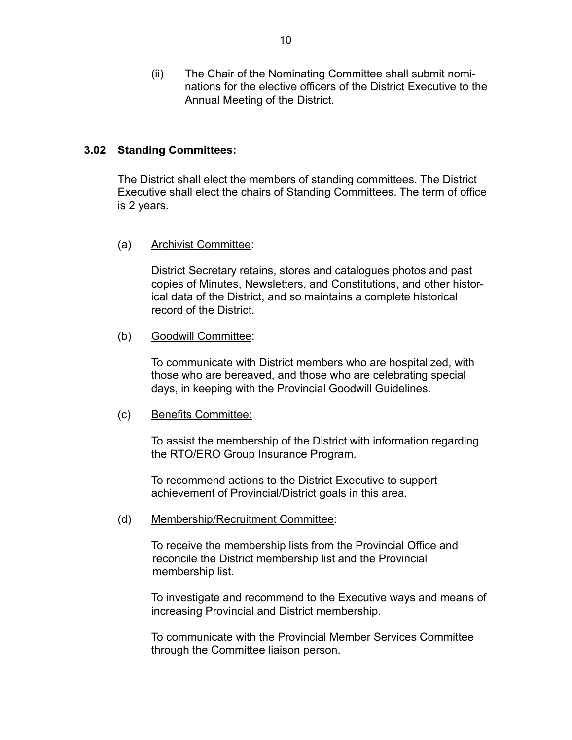(ii) The Chair of the Nominating Committee shall submit nominations for the elective officers of the District Executive to the Annual Meeting of the District.

#### **3.02 Standing Committees:**

 The District shall elect the members of standing committees. The District Executive shall elect the chairs of Standing Committees. The term of office is 2 years.

(a) Archivist Committee:

 District Secretary retains, stores and catalogues photos and past copies of Minutes, Newsletters, and Constitutions, and other historical data of the District, and so maintains a complete historical record of the District.

(b) Goodwill Committee:

 To communicate with District members who are hospitalized, with those who are bereaved, and those who are celebrating special days, in keeping with the Provincial Goodwill Guidelines.

(c) Benefits Committee:

 To assist the membership of the District with information regarding the RTO/ERO Group Insurance Program.

 To recommend actions to the District Executive to support achievement of Provincial/District goals in this area.

(d) Membership/Recruitment Committee:

 To receive the membership lists from the Provincial Office and reconcile the District membership list and the Provincial membership list.

 To investigate and recommend to the Executive ways and means of increasing Provincial and District membership.

 To communicate with the Provincial Member Services Committee through the Committee liaison person.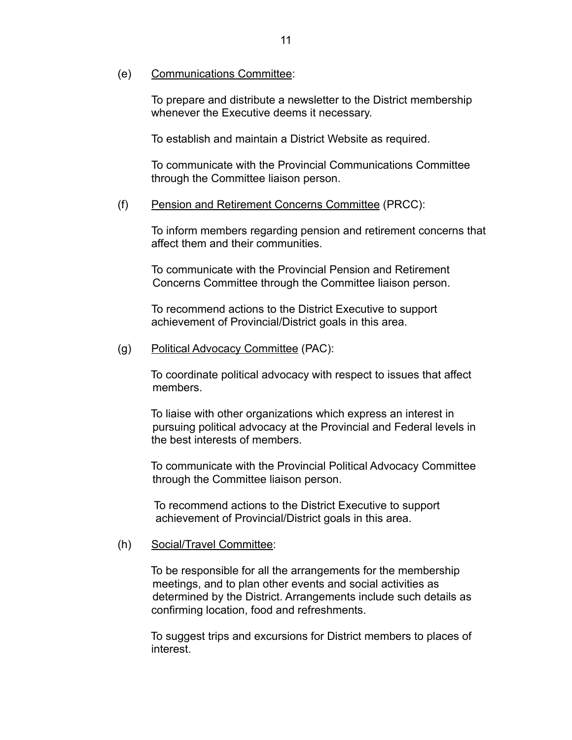(e) Communications Committee:

 To prepare and distribute a newsletter to the District membership whenever the Executive deems it necessary.

To establish and maintain a District Website as required.

 To communicate with the Provincial Communications Committee through the Committee liaison person.

#### (f) Pension and Retirement Concerns Committee (PRCC):

 To inform members regarding pension and retirement concerns that affect them and their communities.

 To communicate with the Provincial Pension and Retirement Concerns Committee through the Committee liaison person.

 To recommend actions to the District Executive to support achievement of Provincial/District goals in this area.

(g) Political Advocacy Committee (PAC):

 To coordinate political advocacy with respect to issues that affect members.

 To liaise with other organizations which express an interest in pursuing political advocacy at the Provincial and Federal levels in the best interests of members.

 To communicate with the Provincial Political Advocacy Committee through the Committee liaison person.

 To recommend actions to the District Executive to support achievement of Provincial/District goals in this area.

#### (h) Social/Travel Committee:

 To be responsible for all the arrangements for the membership meetings, and to plan other events and social activities as determined by the District. Arrangements include such details as confirming location, food and refreshments.

 To suggest trips and excursions for District members to places of interest.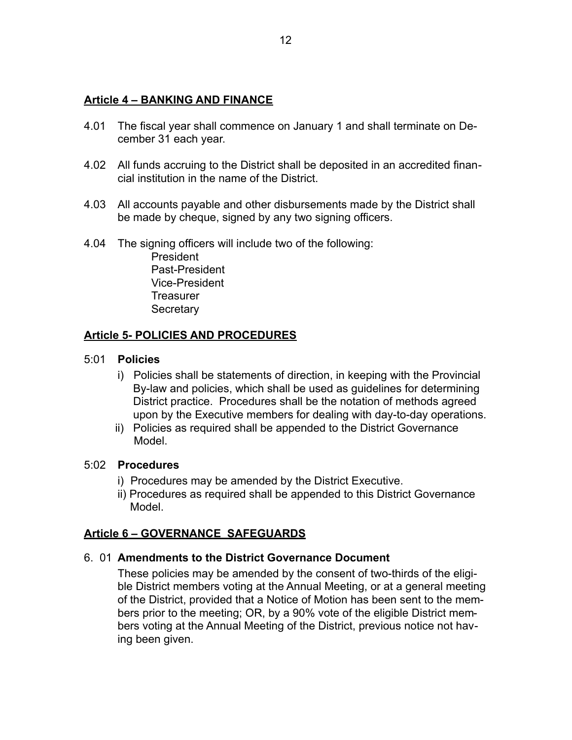# **Article 4 – BANKING AND FINANCE**

- 4.01 The fiscal year shall commence on January 1 and shall terminate on December 31 each year.
- 4.02 All funds accruing to the District shall be deposited in an accredited financial institution in the name of the District.
- 4.03 All accounts payable and other disbursements made by the District shall be made by cheque, signed by any two signing officers.
- 4.04 The signing officers will include two of the following:

 President Past-President Vice-President **Treasurer Secretary** 

# **Article 5- POLICIES AND PROCEDURES**

### 5:01 **Policies**

- i) Policies shall be statements of direction, in keeping with the Provincial By-law and policies, which shall be used as guidelines for determining District practice. Procedures shall be the notation of methods agreed upon by the Executive members for dealing with day-to-day operations.
- ii) Policies as required shall be appended to the District Governance Model.

### 5:02 **Procedures**

- i) Procedures may be amended by the District Executive.
- ii) Procedures as required shall be appended to this District Governance Model.

# **Article 6 – GOVERNANCE SAFEGUARDS**

### 6. 01 **Amendments to the District Governance Document**

 These policies may be amended by the consent of two-thirds of the eligible District members voting at the Annual Meeting, or at a general meeting of the District, provided that a Notice of Motion has been sent to the members prior to the meeting; OR, by a 90% vote of the eligible District members voting at the Annual Meeting of the District, previous notice not having been given.